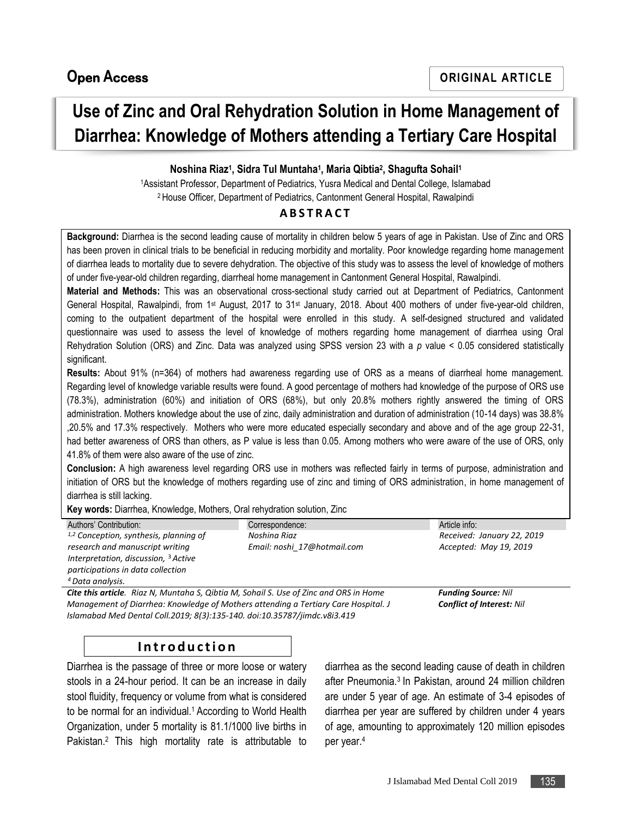# **Use of Zinc and Oral Rehydration Solution in Home Management of Diarrhea: Knowledge of Mothers attending a Tertiary Care Hospital**

### **Noshina Riaz<sup>1</sup> , Sidra Tul Muntaha<sup>1</sup> , Maria Qibtia<sup>2</sup> , Shagufta Sohail<sup>1</sup>**

<sup>1</sup>Assistant Professor, Department of Pediatrics, Yusra Medical and Dental College, Islamabad <sup>2</sup> House Officer, Department of Pediatrics, Cantonment General Hospital, Rawalpindi

#### **A B S T R A C T**

**Background:** Diarrhea is the second leading cause of mortality in children below 5 years of age in Pakistan. Use of Zinc and ORS has been proven in clinical trials to be beneficial in reducing morbidity and mortality. Poor knowledge regarding home management of diarrhea leads to mortality due to severe dehydration. The objective of this study was to assess the level of knowledge of mothers of under five-year-old children regarding, diarrheal home management in Cantonment General Hospital, Rawalpindi.

**Material and Methods:** This was an observational cross-sectional study carried out at Department of Pediatrics, Cantonment General Hospital, Rawalpindi, from 1st August, 2017 to 31st January, 2018. About 400 mothers of under five-year-old children, coming to the outpatient department of the hospital were enrolled in this study. A self-designed structured and validated questionnaire was used to assess the level of knowledge of mothers regarding home management of diarrhea using Oral Rehydration Solution (ORS) and Zinc. Data was analyzed using SPSS version 23 with a *p* value < 0.05 considered statistically significant.

**Results:** About 91% (n=364) of mothers had awareness regarding use of ORS as a means of diarrheal home management. Regarding level of knowledge variable results were found. A good percentage of mothers had knowledge of the purpose of ORS use (78.3%), administration (60%) and initiation of ORS (68%), but only 20.8% mothers rightly answered the timing of ORS administration. Mothers knowledge about the use of zinc, daily administration and duration of administration (10-14 days) was 38.8% ,20.5% and 17.3% respectively. Mothers who were more educated especially secondary and above and of the age group 22-31, had better awareness of ORS than others, as P value is less than 0.05. Among mothers who were aware of the use of ORS, only 41.8% of them were also aware of the use of zinc.

**Conclusion:** A high awareness level regarding ORS use in mothers was reflected fairly in terms of purpose, administration and initiation of ORS but the knowledge of mothers regarding use of zinc and timing of ORS administration, in home management of diarrhea is still lacking.

**Key words:** Diarrhea, Knowledge, Mothers, Oral rehydration solution, Zinc

| Correspondence:             | Article info:                                                                                |
|-----------------------------|----------------------------------------------------------------------------------------------|
| Noshina Riaz                | Received: January 22, 2019                                                                   |
| Email: noshi 17@hotmail.com | Accepted: May 19, 2019                                                                       |
|                             |                                                                                              |
|                             |                                                                                              |
|                             |                                                                                              |
|                             | <b>Funding Source: Nil</b>                                                                   |
|                             | <b>Cite this article.</b> Riaz N, Muntaha S, Qibtia M, Sohail S. Use of Zinc and ORS in Home |

*Management of Diarrhea: Knowledge of Mothers attending a Tertiary Care Hospital. J Islamabad Med Dental Coll.2019; 8(3):135-140. doi:10.35787/jimdc.v8i3.419*

*Conflict of Interest: Nil*

# **I n t r o d u c t i o n**

Diarrhea is the passage of three or more loose or watery stools in a 24-hour period. It can be an increase in daily stool fluidity, frequency or volume from what is considered to be normal for an individual.<sup>1</sup> According to World Health Organization, under 5 mortality is 81.1/1000 live births in Pakistan.<sup>2</sup> This high mortality rate is attributable to diarrhea as the second leading cause of death in children after Pneumonia. 3 In Pakistan, around 24 million children are under 5 year of age. An estimate of 3-4 episodes of diarrhea per year are suffered by children under 4 years of age, amounting to approximately 120 million episodes per year.<sup>4</sup>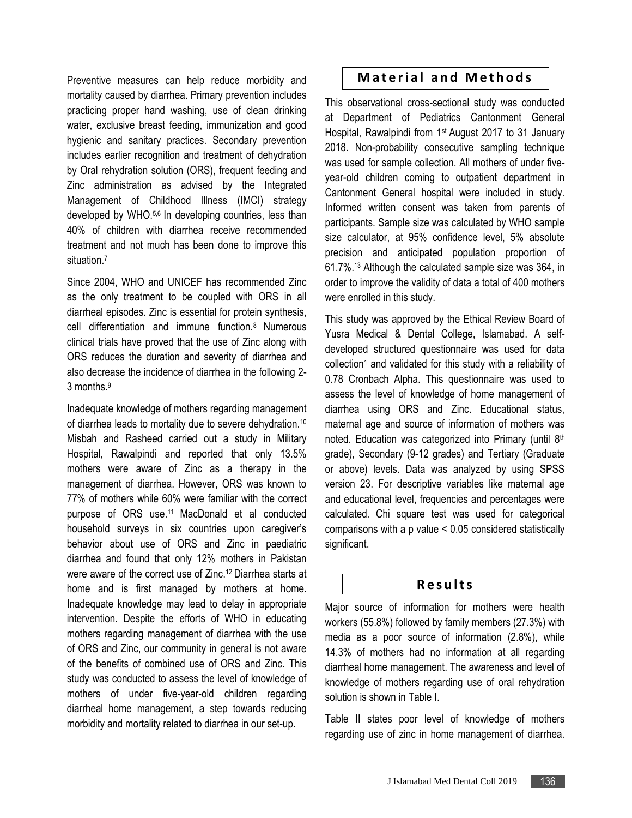Preventive measures can help reduce morbidity and mortality caused by diarrhea. Primary prevention includes practicing proper hand washing, use of clean drinking water, exclusive breast feeding, immunization and good hygienic and sanitary practices. Secondary prevention includes earlier recognition and treatment of dehydration by Oral rehydration solution (ORS), frequent feeding and Zinc administration as advised by the Integrated Management of Childhood Illness (IMCI) strategy developed by WHO.<sup>5,6</sup> In developing countries, less than 40% of children with diarrhea receive recommended treatment and not much has been done to improve this situation.<sup>7</sup>

Since 2004, WHO and UNICEF has recommended Zinc as the only treatment to be coupled with ORS in all diarrheal episodes. Zinc is essential for protein synthesis, cell differentiation and immune function.<sup>8</sup> Numerous clinical trials have proved that the use of Zinc along with ORS reduces the duration and severity of diarrhea and also decrease the incidence of diarrhea in the following 2- 3 months.<sup>9</sup>

Inadequate knowledge of mothers regarding management of diarrhea leads to mortality due to severe dehydration.<sup>10</sup> Misbah and Rasheed carried out a study in Military Hospital, Rawalpindi and reported that only 13.5% mothers were aware of Zinc as a therapy in the management of diarrhea. However, ORS was known to 77% of mothers while 60% were familiar with the correct purpose of ORS use.<sup>11</sup> MacDonald et al conducted household surveys in six countries upon caregiver's behavior about use of ORS and Zinc in paediatric diarrhea and found that only 12% mothers in Pakistan were aware of the correct use of Zinc.<sup>12</sup> Diarrhea starts at home and is first managed by mothers at home. Inadequate knowledge may lead to delay in appropriate intervention. Despite the efforts of WHO in educating mothers regarding management of diarrhea with the use of ORS and Zinc, our community in general is not aware of the benefits of combined use of ORS and Zinc. This study was conducted to assess the level of knowledge of mothers of under five-year-old children regarding diarrheal home management, a step towards reducing morbidity and mortality related to diarrhea in our set-up.

## **Material and Methods**

This observational cross-sectional study was conducted at Department of Pediatrics Cantonment General Hospital, Rawalpindi from 1st August 2017 to 31 January 2018. Non-probability consecutive sampling technique was used for sample collection. All mothers of under fiveyear-old children coming to outpatient department in Cantonment General hospital were included in study. Informed written consent was taken from parents of participants. Sample size was calculated by WHO sample size calculator, at 95% confidence level, 5% absolute precision and anticipated population proportion of 61.7%.<sup>13</sup> Although the calculated sample size was 364, in order to improve the validity of data a total of 400 mothers were enrolled in this study.

This study was approved by the Ethical Review Board of Yusra Medical & Dental College, Islamabad. A selfdeveloped structured questionnaire was used for data collection<sup>1</sup> and validated for this study with a reliability of 0.78 Cronbach Alpha. This questionnaire was used to assess the level of knowledge of home management of diarrhea using ORS and Zinc. Educational status, maternal age and source of information of mothers was noted. Education was categorized into Primary (until 8th grade), Secondary (9-12 grades) and Tertiary (Graduate or above) levels. Data was analyzed by using SPSS version 23. For descriptive variables like maternal age and educational level, frequencies and percentages were calculated. Chi square test was used for categorical comparisons with a p value < 0.05 considered statistically significant.

#### **R e s u l t s**

Major source of information for mothers were health workers (55.8%) followed by family members (27.3%) with media as a poor source of information (2.8%), while 14.3% of mothers had no information at all regarding diarrheal home management. The awareness and level of knowledge of mothers regarding use of oral rehydration solution is shown in Table I.

Table II states poor level of knowledge of mothers regarding use of zinc in home management of diarrhea.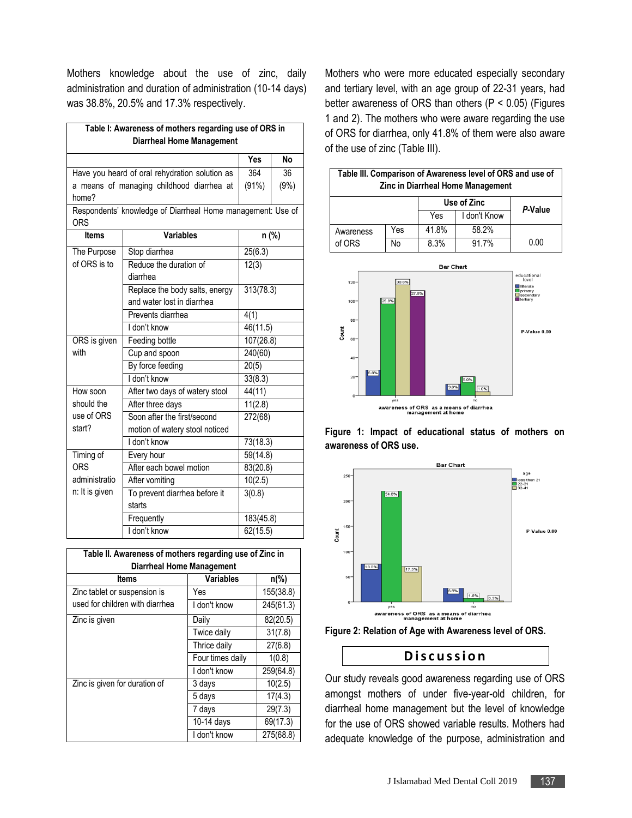Mothers knowledge about the use of zinc, daily administration and duration of administration (10-14 days) was 38.8%, 20.5% and 17.3% respectively.

| Table I: Awareness of mothers regarding use of ORS in<br><b>Diarrheal Home Management</b> |                                                |           |           |  |  |  |
|-------------------------------------------------------------------------------------------|------------------------------------------------|-----------|-----------|--|--|--|
|                                                                                           |                                                | Yes       | <b>No</b> |  |  |  |
|                                                                                           | Have you heard of oral rehydration solution as | 364       | 36        |  |  |  |
| a means of managing childhood diarrhea at                                                 | (91%)                                          | (9%)      |           |  |  |  |
| home?                                                                                     |                                                |           |           |  |  |  |
| Respondents' knowledge of Diarrheal Home management: Use of<br><b>ORS</b>                 |                                                |           |           |  |  |  |
| <b>Items</b>                                                                              | <b>Variables</b>                               | n (%)     |           |  |  |  |
| The Purpose                                                                               | Stop diarrhea                                  | 25(6.3)   |           |  |  |  |
| of ORS is to                                                                              | Reduce the duration of                         | 12(3)     |           |  |  |  |
|                                                                                           | diarrhea                                       |           |           |  |  |  |
|                                                                                           | Replace the body salts, energy                 | 313(78.3) |           |  |  |  |
|                                                                                           | and water lost in diarrhea                     |           |           |  |  |  |
|                                                                                           | Prevents diarrhea                              | 4(1)      |           |  |  |  |
|                                                                                           | I don't know                                   |           | 46(11.5)  |  |  |  |
| ORS is given                                                                              | Feeding bottle                                 | 107(26.8) |           |  |  |  |
| with<br>Cup and spoon                                                                     |                                                | 240(60)   |           |  |  |  |
|                                                                                           | By force feeding                               | 20(5)     |           |  |  |  |
|                                                                                           | I don't know                                   | 33(8.3)   |           |  |  |  |
| How soon                                                                                  | After two days of watery stool                 | 44(11)    |           |  |  |  |
| should the                                                                                | After three days                               |           | 11(2.8)   |  |  |  |
| use of ORS<br>Soon after the first/second                                                 |                                                | 272(68)   |           |  |  |  |
| start?                                                                                    | motion of watery stool noticed                 |           |           |  |  |  |
|                                                                                           | I don't know                                   | 73(18.3)  |           |  |  |  |
| Timing of                                                                                 | Every hour                                     | 59(14.8)  |           |  |  |  |
| <b>ORS</b>                                                                                | After each bowel motion                        | 83(20.8)  |           |  |  |  |
| administratio                                                                             | After vomiting                                 | 10(2.5)   |           |  |  |  |
| n: It is given                                                                            | To prevent diarrhea before it                  | 3(0.8)    |           |  |  |  |
|                                                                                           | starts                                         |           |           |  |  |  |
|                                                                                           | Frequently                                     | 183(45.8) |           |  |  |  |
|                                                                                           | I don't know                                   | 62(15.5)  |           |  |  |  |

| Table II. Awareness of mothers regarding use of Zinc in<br><b>Diarrheal Home Management</b> |                          |                |  |  |  |
|---------------------------------------------------------------------------------------------|--------------------------|----------------|--|--|--|
| <b>Items</b>                                                                                | Variables                | $n\frac{6}{6}$ |  |  |  |
| Zinc tablet or suspension is<br>used for children with diarrhea                             | Yes                      | 155(38.8)      |  |  |  |
|                                                                                             | I don't know             | 245(61.3)      |  |  |  |
| Zinc is given                                                                               | Daily                    | 82(20.5)       |  |  |  |
|                                                                                             | Twice daily              | 31(7.8)        |  |  |  |
|                                                                                             | Thrice daily             | 27(6.8)        |  |  |  |
|                                                                                             | Four times daily         | 1(0.8)         |  |  |  |
|                                                                                             | I don't know             | 259(64.8)      |  |  |  |
| Zinc is given for duration of                                                               | 3 days                   | 10(2.5)        |  |  |  |
|                                                                                             | 5 days                   | 17(4.3)        |  |  |  |
|                                                                                             | 7 days                   | 29(7.3)        |  |  |  |
|                                                                                             | $\overline{10}$ -14 days | 69(17.3)       |  |  |  |
|                                                                                             | I don't know             | 275(68.8)      |  |  |  |

Mothers who were more educated especially secondary and tertiary level, with an age group of 22-31 years, had better awareness of ORS than others  $(P < 0.05)$  (Figures 1 and 2). The mothers who were aware regarding the use of ORS for diarrhea, only 41.8% of them were also aware of the use of zinc (Table III).

| Table III. Comparison of Awareness level of ORS and use of<br>Zinc in Diarrheal Home Management |     |             |              |         |  |  |
|-------------------------------------------------------------------------------------------------|-----|-------------|--------------|---------|--|--|
|                                                                                                 |     | Use of Zinc |              | P-Value |  |  |
|                                                                                                 |     | Yes         | I don't Know |         |  |  |
| Awareness                                                                                       | Yes | 41.8%       | 58.2%        |         |  |  |
| of ORS                                                                                          | No  | 8.3%        | 91.7%        | 0.00    |  |  |



**Figure 1: Impact of educational status of mothers on awareness of ORS use.**



**Figure 2: Relation of Age with Awareness level of ORS.**

#### **D i s c u s s i o n**

Our study reveals good awareness regarding use of ORS amongst mothers of under five-year-old children, for diarrheal home management but the level of knowledge for the use of ORS showed variable results. Mothers had adequate knowledge of the purpose, administration and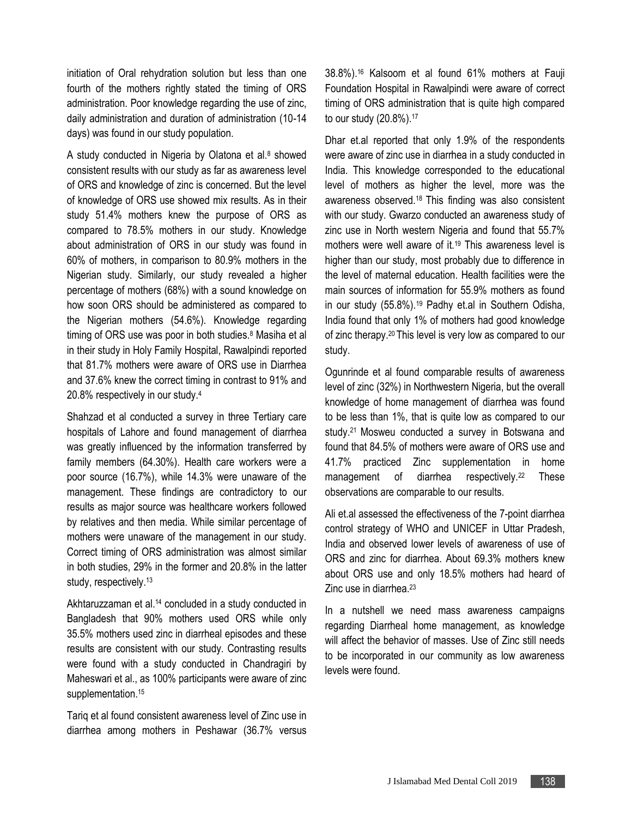initiation of Oral rehydration solution but less than one fourth of the mothers rightly stated the timing of ORS administration. Poor knowledge regarding the use of zinc, daily administration and duration of administration (10-14 days) was found in our study population.

A study conducted in Nigeria by Olatona et al. $8$  showed consistent results with our study as far as awareness level of ORS and knowledge of zinc is concerned. But the level of knowledge of ORS use showed mix results. As in their study 51.4% mothers knew the purpose of ORS as compared to 78.5% mothers in our study. Knowledge about administration of ORS in our study was found in 60% of mothers, in comparison to 80.9% mothers in the Nigerian study. Similarly, our study revealed a higher percentage of mothers (68%) with a sound knowledge on how soon ORS should be administered as compared to the Nigerian mothers (54.6%). Knowledge regarding timing of ORS use was poor in both studies.<sup>8</sup> Masiha et al in their study in Holy Family Hospital, Rawalpindi reported that 81.7% mothers were aware of ORS use in Diarrhea and 37.6% knew the correct timing in contrast to 91% and 20.8% respectively in our study.<sup>4</sup>

Shahzad et al conducted a survey in three Tertiary care hospitals of Lahore and found management of diarrhea was greatly influenced by the information transferred by family members (64.30%). Health care workers were a poor source (16.7%), while 14.3% were unaware of the management. These findings are contradictory to our results as major source was healthcare workers followed by relatives and then media. While similar percentage of mothers were unaware of the management in our study. Correct timing of ORS administration was almost similar in both studies, 29% in the former and 20.8% in the latter study, respectively.<sup>13</sup>

Akhtaruzzaman et al. <sup>14</sup> concluded in a study conducted in Bangladesh that 90% mothers used ORS while only 35.5% mothers used zinc in diarrheal episodes and these results are consistent with our study. Contrasting results were found with a study conducted in Chandragiri by Maheswari et al., as 100% participants were aware of zinc supplementation.<sup>15</sup>

Tariq et al found consistent awareness level of Zinc use in diarrhea among mothers in Peshawar (36.7% versus 38.8%).<sup>16</sup> Kalsoom et al found 61% mothers at Fauji Foundation Hospital in Rawalpindi were aware of correct timing of ORS administration that is quite high compared to our study (20.8%). 17

Dhar et.al reported that only 1.9% of the respondents were aware of zinc use in diarrhea in a study conducted in India. This knowledge corresponded to the educational level of mothers as higher the level, more was the awareness observed.<sup>18</sup> This finding was also consistent with our study. Gwarzo conducted an awareness study of zinc use in North western Nigeria and found that 55.7% mothers were well aware of it.<sup>19</sup> This awareness level is higher than our study, most probably due to difference in the level of maternal education. Health facilities were the main sources of information for 55.9% mothers as found in our study (55.8%).<sup>19</sup> Padhy et.al in Southern Odisha, India found that only 1% of mothers had good knowledge of zinc therapy. <sup>20</sup> This level is very low as compared to our study.

Ogunrinde et al found comparable results of awareness level of zinc (32%) in Northwestern Nigeria, but the overall knowledge of home management of diarrhea was found to be less than 1%, that is quite low as compared to our study.<sup>21</sup> Mosweu conducted a survey in Botswana and found that 84.5% of mothers were aware of ORS use and 41.7% practiced Zinc supplementation in home management of diarrhea respectively.<sup>22</sup> These observations are comparable to our results.

Ali et.al assessed the effectiveness of the 7-point diarrhea control strategy of WHO and UNICEF in Uttar Pradesh, India and observed lower levels of awareness of use of ORS and zinc for diarrhea. About 69.3% mothers knew about ORS use and only 18.5% mothers had heard of Zinc use in diarrhea.<sup>23</sup>

In a nutshell we need mass awareness campaigns regarding Diarrheal home management, as knowledge will affect the behavior of masses. Use of Zinc still needs to be incorporated in our community as low awareness levels were found.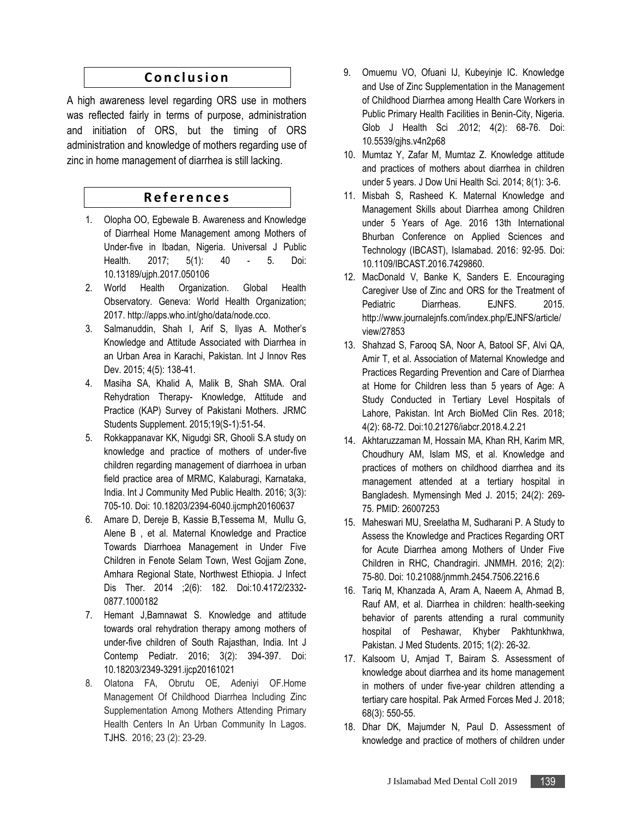## **C o n c l u s i o n**

A high awareness level regarding ORS use in mothers was reflected fairly in terms of purpose, administration and initiation of ORS, but the timing of ORS administration and knowledge of mothers regarding use of zinc in home management of diarrhea is still lacking.

## **R e f e r e n c e s**

- 1. Olopha OO, Egbewale B. Awareness and Knowledge of Diarrheal Home Management among Mothers of Under-five in Ibadan, Nigeria. Universal J Public Health. 2017; 5(1): 40 - 5. Doi: 10.13189/ujph.2017.050106
- 2. World Health Organization. Global Health Observatory. Geneva: World Health Organization; 2017. http://apps.who.int/gho/data/node.cco.
- 3. Salmanuddin, Shah I, Arif S, Ilyas A. Mother's Knowledge and Attitude Associated with Diarrhea in an Urban Area in Karachi, Pakistan. Int J Innov Res Dev. 2015; 4(5): 138-41.
- 4. Masiha SA, Khalid A, Malik B, Shah SMA. Oral Rehydration Therapy- Knowledge, Attitude and Practice (KAP) Survey of Pakistani Mothers. JRMC Students Supplement. 2015;19(S-1):51-54.
- 5. Rokkappanavar KK, Nigudgi SR, Ghooli S.A study on knowledge and practice of mothers of under-five children regarding management of diarrhoea in urban field practice area of MRMC, Kalaburagi, Karnataka, India. Int J Community Med Public Health. 2016; 3(3): 705-10. Doi: 10.18203/2394-6040.ijcmph20160637
- 6. Amare D, Dereje B, Kassie B,Tessema M, Mullu G, Alene B , et al. Maternal Knowledge and Practice Towards Diarrhoea Management in Under Five Children in Fenote Selam Town, West Gojjam Zone, Amhara Regional State, Northwest Ethiopia. J Infect Dis Ther. 2014 ;2(6): 182. Doi:10.4172/2332- 0877.1000182
- 7. Hemant J,Bamnawat S. Knowledge and attitude towards oral rehydration therapy among mothers of under-five children of South Rajasthan, India. Int J Contemp Pediatr. 2016; 3(2): 394-397. Doi: 10.18203/2349-3291.ijcp20161021
- 8. Olatona FA, Obrutu OE, Adeniyi OF.Home Management Of Childhood Diarrhea Including Zinc Supplementation Among Mothers Attending Primary Health Centers In An Urban Community In Lagos. TJHS. 2016; 23 (2): 23-29.
- 9. Omuemu VO, Ofuani IJ, Kubeyinje IC. Knowledge and Use of Zinc Supplementation in the Management of Childhood Diarrhea among Health Care Workers in Public Primary Health Facilities in Benin-City, Nigeria. Glob J Health Sci .2012; 4(2): 68-76. Doi: 10.5539/gjhs.v4n2p68
- 10. Mumtaz Y, Zafar M, Mumtaz Z. Knowledge attitude and practices of mothers about diarrhea in children under 5 years. J Dow Uni Health Sci. 2014; 8(1): 3-6.
- 11. Misbah S, Rasheed K. Maternal Knowledge and Management Skills about Diarrhea among Children under 5 Years of Age. 2016 13th International Bhurban Conference on Applied Sciences and Technology (IBCAST), Islamabad. 2016: 92-95. Doi: 10.1109/IBCAST.2016.7429860.
- 12. MacDonald V, Banke K, Sanders E. Encouraging Caregiver Use of Zinc and ORS for the Treatment of Pediatric Diarrheas. EJNFS. 2015. http://www.journalejnfs.com/index.php/EJNFS/article/ view/27853
- 13. Shahzad S, Farooq SA, Noor A, Batool SF, Alvi QA, Amir T, et al. Association of Maternal Knowledge and Practices Regarding Prevention and Care of Diarrhea at Home for Children less than 5 years of Age: A Study Conducted in Tertiary Level Hospitals of Lahore, Pakistan. Int Arch BioMed Clin Res. 2018; 4(2): 68-72. Doi:10.21276/iabcr.2018.4.2.21
- 14. Akhtaruzzaman M, Hossain MA, Khan RH, Karim MR, Choudhury AM, Islam MS, et al. Knowledge and practices of mothers on childhood diarrhea and its management attended at a tertiary hospital in Bangladesh. Mymensingh Med J. 2015; 24(2): 269- 75. PMID: 26007253
- 15. Maheswari MU, Sreelatha M, Sudharani P. A Study to Assess the Knowledge and Practices Regarding ORT for Acute Diarrhea among Mothers of Under Five Children in RHC, Chandragiri. JNMMH. 2016; 2(2): 75-80. Doi: 10.21088/jnmmh.2454.7506.2216.6
- 16. Tariq M, Khanzada A, Aram A, Naeem A, Ahmad B, Rauf AM, et al. Diarrhea in children: health-seeking behavior of parents attending a rural community hospital of Peshawar, Khyber Pakhtunkhwa, Pakistan. J Med Students. 2015; 1(2): 26-32.
- 17. Kalsoom U, Amjad T, Bairam S. Assessment of knowledge about diarrhea and its home management in mothers of under five-year children attending a tertiary care hospital. Pak Armed Forces Med J. 2018; 68(3): 550-55.
- 18. Dhar DK, Majumder N, Paul D. Assessment of knowledge and practice of mothers of children under